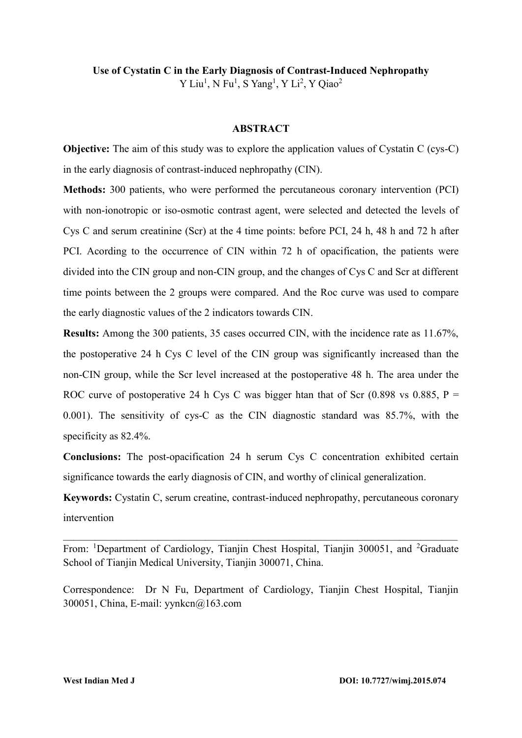# **Use of Cystatin C in the Early Diagnosis of Contrast-Induced Nephropathy** Y Liu<sup>1</sup>, N Fu<sup>1</sup>, S Yang<sup>1</sup>, Y Li<sup>2</sup>, Y Qiao<sup>2</sup>

### **ABSTRACT**

**Objective:** The aim of this study was to explore the application values of Cystatin C (cys-C) in the early diagnosis of contrast-induced nephropathy (CIN).

**Methods:** 300 patients, who were performed the percutaneous coronary intervention (PCI) with non-ionotropic or iso-osmotic contrast agent, were selected and detected the levels of Cys C and serum creatinine (Scr) at the 4 time points: before PCI, 24 h, 48 h and 72 h after PCI. Acording to the occurrence of CIN within 72 h of opacification, the patients were divided into the CIN group and non-CIN group, and the changes of Cys C and Scr at different time points between the 2 groups were compared. And the Roc curve was used to compare the early diagnostic values of the 2 indicators towards CIN.

**Results:** Among the 300 patients, 35 cases occurred CIN, with the incidence rate as 11.67%, the postoperative 24 h Cys C level of the CIN group was significantly increased than the non-CIN group, while the Scr level increased at the postoperative 48 h. The area under the ROC curve of postoperative 24 h Cys C was bigger htan that of Scr  $(0.898 \text{ vs } 0.885, P =$ 0.001). The sensitivity of cys-C as the CIN diagnostic standard was 85.7%, with the specificity as 82.4%.

**Conclusions:** The post-opacification 24 h serum Cys C concentration exhibited certain significance towards the early diagnosis of CIN, and worthy of clinical generalization.

**Keywords:** Cystatin C, serum creatine, contrast-induced nephropathy, percutaneous coronary intervention

From: <sup>1</sup>Department of Cardiology, Tianjin Chest Hospital, Tianjin 300051, and <sup>2</sup>Graduate School of Tianjin Medical University, Tianjin 300071, China.

 $\_$  , and the contribution of the contribution of  $\mathcal{L}_\mathcal{A}$  , and the contribution of  $\mathcal{L}_\mathcal{A}$ 

Correspondence: Dr N Fu, Department of Cardiology, Tianjin Chest Hospital, Tianjin 300051, China, E-mail: [yynkcn@163.com](mailto:yynkcn@163.com)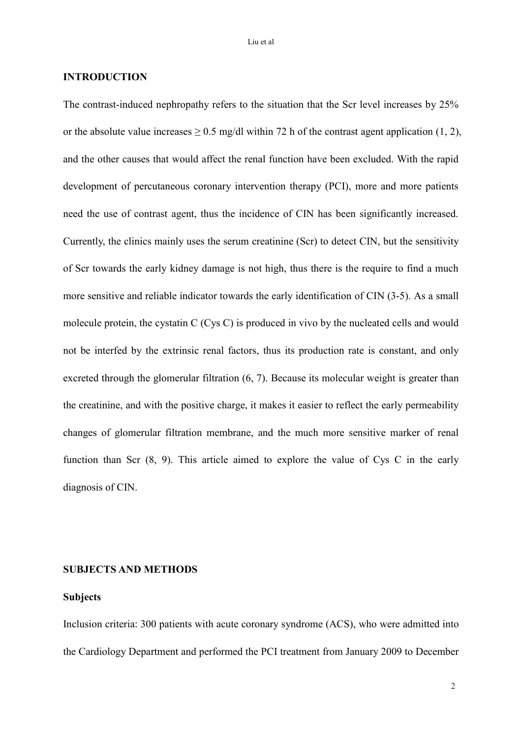### **INTRODUCTION**

The contrast-induced nephropathy refers to the situation that the Scr level increases by 25% or the absolute value increases  $\geq 0.5$  mg/dl within 72 h of the contrast agent application (1, 2), and the other causes that would affect the renal function have been excluded. With the rapid development of percutaneous coronary intervention therapy (PCI), more and more patients need the use of contrast agent, thus the incidence of CIN has been significantly increased. Currently, the clinics mainly uses the serum creatinine (Scr) to detect CIN, but the sensitivity of Scr towards the early kidney damage is not high, thus there is the require to find a much more sensitive and reliable indicator towards the early identification of CIN (3-5). As a small molecule protein, the cystatin C (Cys C) is produced in vivo by the nucleated cells and would not be interfed by the extrinsic renal factors, thus its production rate is constant, and only excreted through the glomerular filtration (6, 7). Because its molecular weight is greater than the creatinine, and with the positive charge, it makes it easier to reflect the early permeability changes of glomerular filtration membrane, and the much more sensitive marker of renal function than Scr (8, 9). This article aimed to explore the value of Cys C in the early diagnosis of CIN.

# **SUBJECTS AND METHODS**

#### **Subjects**

Inclusion criteria: 300 patients with acute coronary syndrome (ACS), who were admitted into the Cardiology Department and performed the PCI treatment from January 2009 to December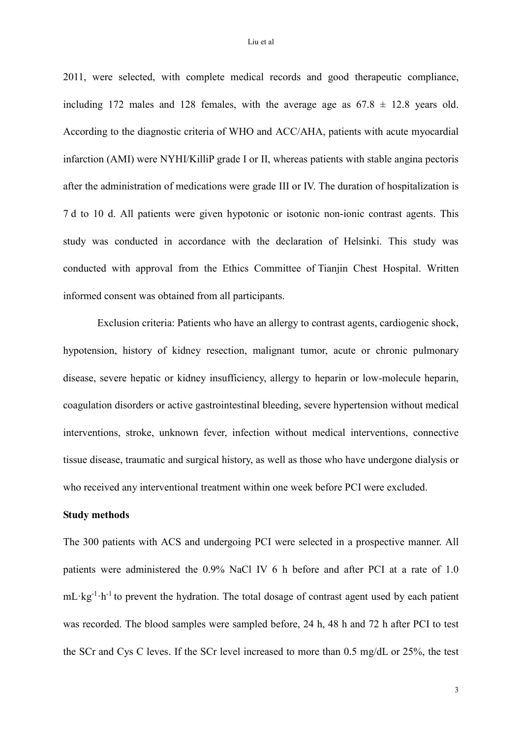2011, were selected, with complete medical records and good therapeutic compliance, including 172 males and 128 females, with the average age as  $67.8 \pm 12.8$  years old. According to the diagnostic criteria of WHO and ACC/AHA, patients with acute myocardial infarction (AMI) were NYHI/KilliP grade I or II, whereas patients with stable angina pectoris after the administration of medications were grade III or IV. The duration of hospitalization is 7 d to 10 d. All patients were given hypotonic or isotonic non-ionic contrast agents. This study was conducted in accordance with the declaration of Helsinki. This study was conducted with approval from the Ethics Committee of Tianjin Chest Hospital. Written informed consent was obtained from all participants.

Exclusion criteria: Patients who have an allergy to contrast agents, cardiogenic shock, hypotension, history of kidney resection, malignant tumor, acute or chronic pulmonary disease, severe hepatic or kidney insufficiency, allergy to heparin or low-molecule heparin, coagulation disorders or active gastrointestinal bleeding, severe hypertension without medical interventions, stroke, unknown fever, infection without medical interventions, connective tissue disease, traumatic and surgical history, as well as those who have undergone dialysis or who received any interventional treatment within one week before PCI were excluded.

#### **Study methods**

The 300 patients with ACS and undergoing PCI were selected in a prospective manner. All patients were administered the 0.9% NaCl IV 6 h before and after PCI at a rate of 1.0  $mL \log^{-1} h^{-1}$  to prevent the hydration. The total dosage of contrast agent used by each patient was recorded. The blood samples were sampled before, 24 h, 48 h and 72 h after PCI to test the SCr and Cys C leves. If the SCr level increased to more than 0.5 mg/dL or 25%, the test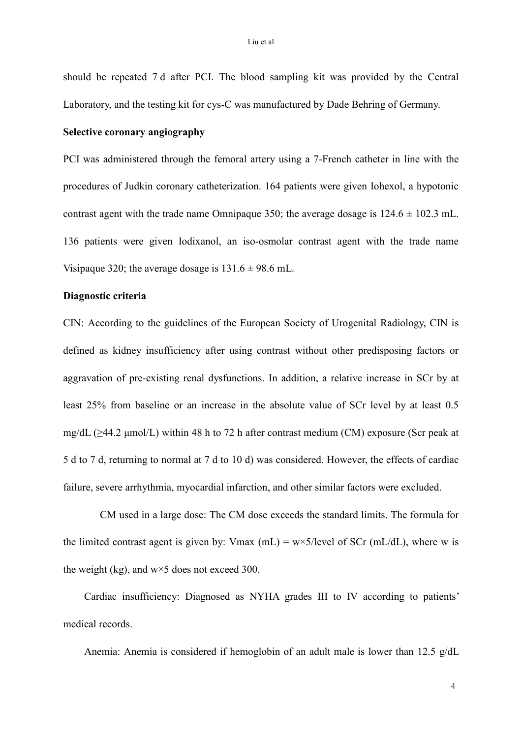should be repeated 7 d after PCI. The blood sampling kit was provided by the Central Laboratory, and the testing kit for cys-C was manufactured by Dade Behring of Germany.

# **Selective coronary angiography**

PCI was administered through the femoral artery using a 7-French catheter in line with the procedures of Judkin coronary catheterization. 164 patients were given Iohexol, a hypotonic contrast agent with the trade name Omnipaque 350; the average dosage is  $124.6 \pm 102.3$  mL. 136 patients were given Iodixanol, an iso-osmolar contrast agent with the trade name Visipaque 320; the average dosage is  $131.6 \pm 98.6$  mL.

# **Diagnostic criteria**

CIN: According to the guidelines of the European Society of Urogenital Radiology, CIN is defined as kidney insufficiency after using contrast without other predisposing factors or aggravation of pre-existing renal dysfunctions. In addition, a relative increase in SCr by at least 25% from baseline or an increase in the absolute value of SCr level by at least 0.5 mg/dL ( $\geq$ 44.2 µmol/L) within 48 h to 72 h after contrast medium (CM) exposure (Scr peak at 5 d to 7 d, returning to normal at 7 d to 10 d) was considered. However, the effects of cardiac failure, severe arrhythmia, myocardial infarction, and other similar factors were excluded.

CM used in a large dose: The CM dose exceeds the standard limits. The formula for the limited contrast agent is given by: Vmax (mL) =  $w \times 5$ /level of SCr (mL/dL), where w is the weight (kg), and  $w \times 5$  does not exceed 300.

Cardiac insufficiency: Diagnosed as NYHA grades III to IV according to patients' medical records.

Anemia: Anemia is considered if hemoglobin of an adult male is lower than 12.5 g/dL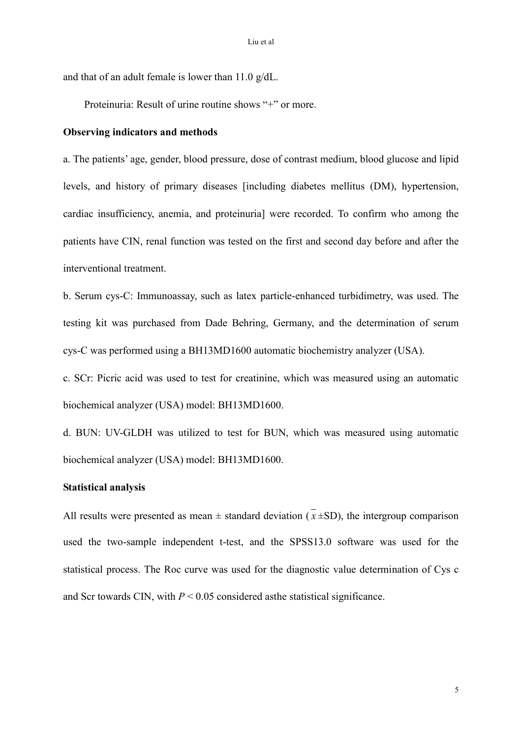and that of an adult female is lower than 11.0 g/dL.

Proteinuria: Result of urine routine shows "+" or more.

### **Observing indicators and methods**

a. The patients' age, gender, blood pressure, dose of contrast medium, blood glucose and lipid levels, and history of primary diseases [including diabetes mellitus (DM), hypertension, cardiac insufficiency, anemia, and proteinuria] were recorded. To confirm who among the patients have CIN, renal function was tested on the first and second day before and after the interventional treatment.

b. Serum cys-C: Immunoassay, such as latex particle-enhanced turbidimetry, was used. The testing kit was purchased from Dade Behring, Germany, and the determination of serum cys-C was performed using a BH13MD1600 automatic biochemistry analyzer (USA).

c. SCr: Picric acid was used to test for creatinine, which was measured using an automatic biochemical analyzer (USA) model: BH13MD1600.

d. BUN: UV-GLDH was utilized to test for BUN, which was measured using automatic biochemical analyzer (USA) model: BH13MD1600.

# **Statistical analysis**

All results were presented as mean  $\pm$  standard deviation ( $x \pm SD$ ), the intergroup comparison used the two-sample independent t-test, and the SPSS13.0 software was used for the statistical process. The Roc curve was used for the diagnostic value determination of Cys c and Scr towards CIN, with  $P \le 0.05$  considered as the statistical significance.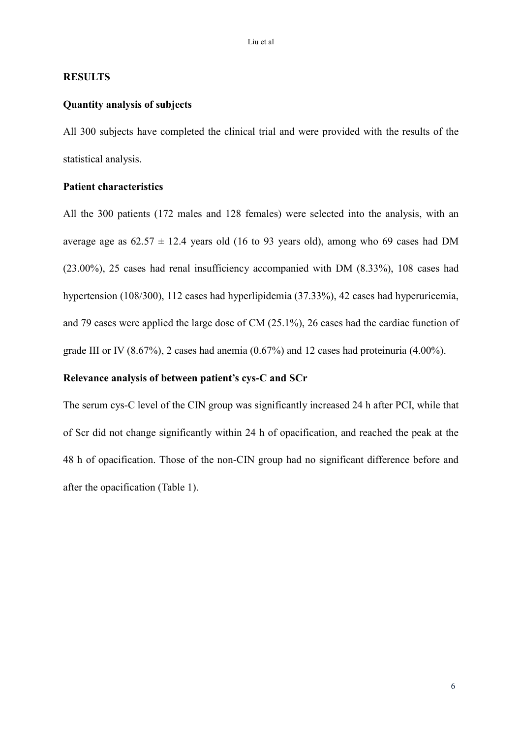## **RESULTS**

## **Quantity analysis of subjects**

All 300 subjects have completed the clinical trial and were provided with the results of the statistical analysis.

### **Patient characteristics**

All the 300 patients (172 males and 128 females) were selected into the analysis, with an average age as  $62.57 \pm 12.4$  years old (16 to 93 years old), among who 69 cases had DM (23.00%), 25 cases had renal insufficiency accompanied with DM (8.33%), 108 cases had hypertension (108/300), 112 cases had hyperlipidemia (37.33%), 42 cases had hyperuricemia, and 79 cases were applied the large dose of CM (25.1%), 26 cases had the cardiac function of grade III or IV (8.67%), 2 cases had anemia (0.67%) and 12 cases had proteinuria (4.00%).

### **Relevance analysis of between patient's cys-C and SCr**

The serum cys-C level of the CIN group was significantly increased 24 h after PCI, while that of Scr did not change significantly within 24 h of opacification, and reached the peak at the 48 h of opacification. Those of the non-CIN group had no significant difference before and after the opacification (Table 1).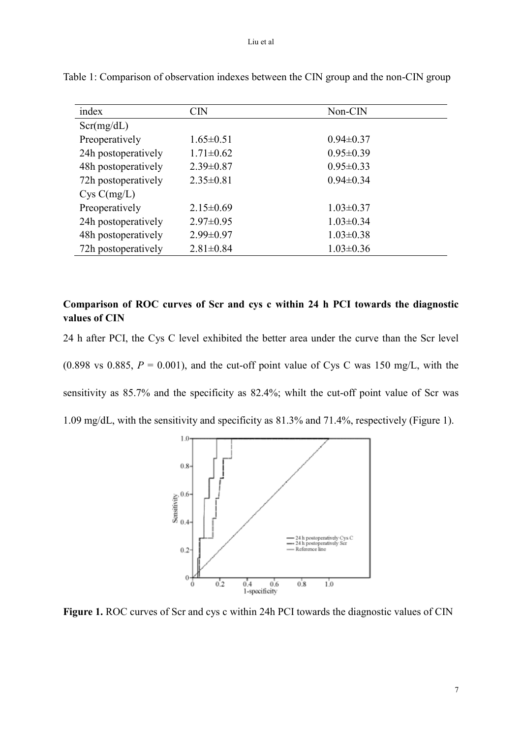| index               | <b>CIN</b>      | Non-CIN         |
|---------------------|-----------------|-----------------|
| Scr(mg/dL)          |                 |                 |
| Preoperatively      | $1.65 \pm 0.51$ | $0.94 \pm 0.37$ |
| 24h postoperatively | $1.71 \pm 0.62$ | $0.95 \pm 0.39$ |
| 48h postoperatively | $2.39 \pm 0.87$ | $0.95 \pm 0.33$ |
| 72h postoperatively | $2.35 \pm 0.81$ | $0.94 \pm 0.34$ |
| Cys C(mg/L)         |                 |                 |
| Preoperatively      | $2.15 \pm 0.69$ | $1.03 \pm 0.37$ |
| 24h postoperatively | $2.97 \pm 0.95$ | $1.03 \pm 0.34$ |
| 48h postoperatively | $2.99 \pm 0.97$ | $1.03 \pm 0.38$ |
| 72h postoperatively | $2.81 \pm 0.84$ | $1.03 \pm 0.36$ |

Table 1: Comparison of observation indexes between the CIN group and the non-CIN group

# **Comparison of ROC curves of Scr and cys c within 24 h PCI towards the diagnostic values of CIN**

24 h after PCI, the Cys C level exhibited the better area under the curve than the Scr level (0.898 vs 0.885,  $P = 0.001$ ), and the cut-off point value of Cys C was 150 mg/L, with the sensitivity as 85.7% and the specificity as 82.4%; whilt the cut-off point value of Scr was 1.09 mg/dL, with the sensitivity and specificity as 81.3% and 71.4%, respectively (Figure 1).



**Figure 1.** ROC curves of Scr and cys c within 24h PCI towards the diagnostic values of CIN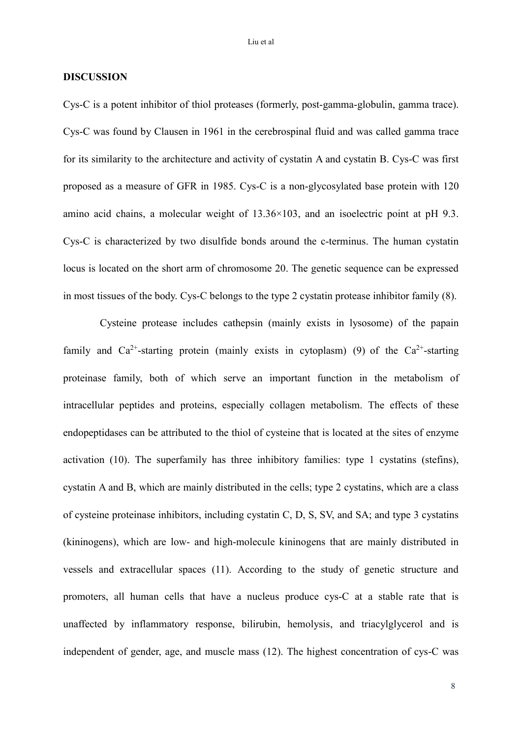## **DISCUSSION**

Cys-C is a potent inhibitor of thiol proteases (formerly, post-gamma-globulin, gamma trace). Cys-C was found by Clausen in 1961 in the cerebrospinal fluid and was called gamma trace for its similarity to the architecture and activity of cystatin A and cystatin B. Cys-C was first proposed as a measure of GFR in 1985. Cys-C is a non-glycosylated base protein with 120 amino acid chains, a molecular weight of 13.36×103, and an isoelectric point at pH 9.3. Cys-C is characterized by two disulfide bonds around the c-terminus. The human cystatin locus is located on the short arm of chromosome 20. The genetic sequence can be expressed in most tissues of the body. Cys-C belongs to the type 2 cystatin protease inhibitor family (8).

Cysteine protease includes cathepsin (mainly exists in lysosome) of the papain family and Ca<sup>2+</sup>-starting protein (mainly exists in cytoplasm) (9) of the Ca<sup>2+</sup>-starting proteinase family, both of which serve an important function in the metabolism of intracellular peptides and proteins, especially collagen metabolism. The effects of these endopeptidases can be attributed to the thiol of cysteine that is located at the sites of enzyme activation (10). The superfamily has three inhibitory families: type 1 cystatins (stefins), cystatin A and B, which are mainly distributed in the cells; type 2 cystatins, which are a class of cysteine proteinase inhibitors, including cystatin C, D, S, SV, and SA; and type 3 cystatins (kininogens), which are low- and high-molecule kininogens that are mainly distributed in vessels and extracellular spaces (11). According to the study of genetic structure and promoters, all human cells that have a nucleus produce cys-C at a stable rate that is unaffected by inflammatory response, bilirubin, hemolysis, and triacylglycerol and is independent of gender, age, and muscle mass (12). The highest concentration of cys-C was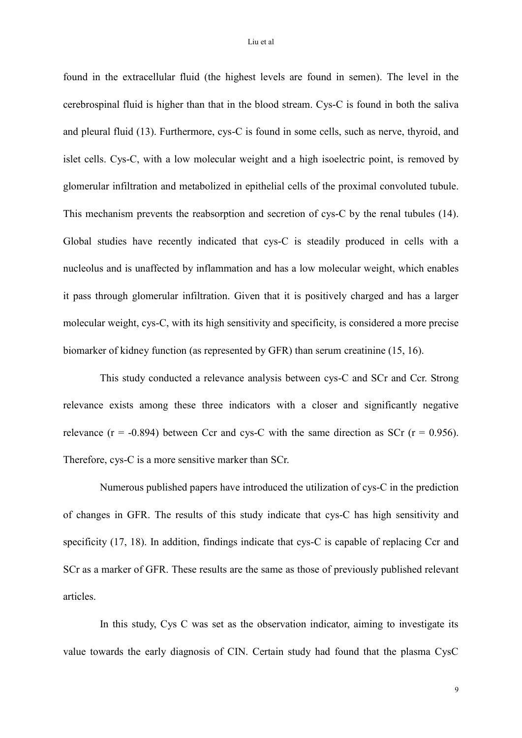found in the extracellular fluid (the highest levels are found in semen). The level in the cerebrospinal fluid is higher than that in the blood stream. Cys-C is found in both the saliva and pleural fluid (13). Furthermore, cys-C is found in some cells, such as nerve, thyroid, and islet cells. Cys-C, with a low molecular weight and a high isoelectric point, is removed by glomerular infiltration and metabolized in epithelial cells of the proximal convoluted tubule. This mechanism prevents the reabsorption and secretion of cys-C by the renal tubules (14). Global studies have recently indicated that cys-C is steadily produced in cells with a nucleolus and is unaffected by inflammation and has a low molecular weight, which enables it pass through glomerular infiltration. Given that it is positively charged and has a larger molecular weight, cys-C, with its high sensitivity and specificity, is considered a more precise biomarker of kidney function (as represented by GFR) than serum [creatinine](http://en.wikipedia.org/wiki/Creatinine) (15, 16).

This study conducted a relevance analysis between cys-C and SCr and Ccr. Strong relevance exists among these three indicators with a closer and significantly negative relevance ( $r = -0.894$ ) between Ccr and cys-C with the same direction as SCr ( $r = 0.956$ ). Therefore, cys-C is a more sensitive marker than SCr.

Numerous published papers have introduced the utilization of cys-C in the prediction of changes in GFR. The results of this study indicate that cys-C has high sensitivity and specificity (17, 18). In addition, findings indicate that cys-C is capable of replacing Ccr and SCr as a marker of GFR. These results are the same as those of previously published relevant articles.

In this study, Cys C was set as the observation indicator, aiming to investigate its value towards the early diagnosis of CIN. Certain study had found that the plasma CysC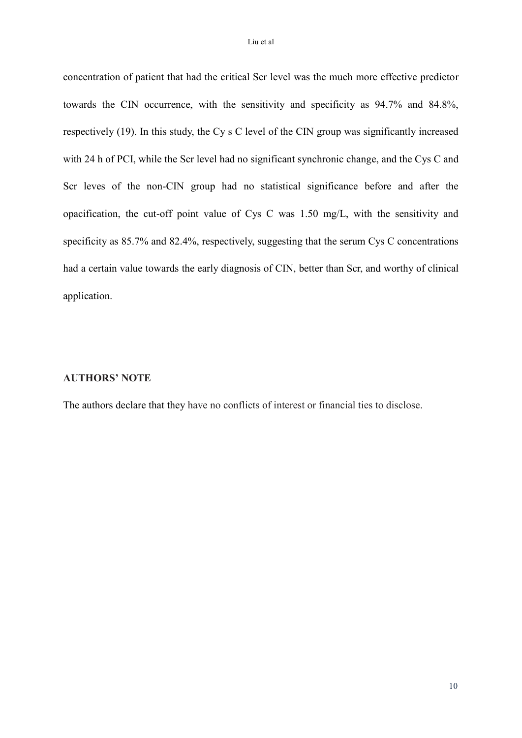concentration of patient that had the critical Scr level was the much more effective predictor towards the CIN occurrence, with the sensitivity and specificity as 94.7% and 84.8%, respectively (19). In this study, the Cy s C level of the CIN group was significantly increased with 24 h of PCI, while the Scr level had no significant synchronic change, and the Cys C and Scr leves of the non-CIN group had no statistical significance before and after the opacification, the cut-off point value of Cys C was 1.50 mg/L, with the sensitivity and specificity as 85.7% and 82.4%, respectively, suggesting that the serum Cys C concentrations had a certain value towards the early diagnosis of CIN, better than Scr, and worthy of clinical application.

### **AUTHORS' NOTE**

The authors declare that they have no conflicts of interest or financial ties to disclose.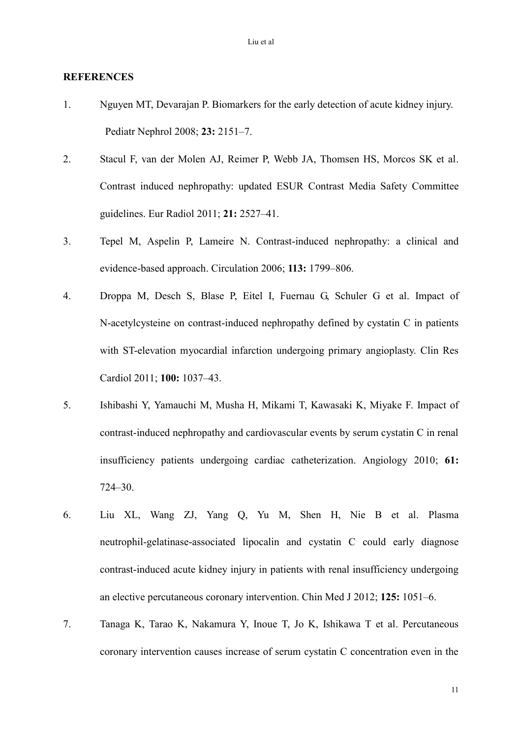### **REFERENCES**

- 1. Nguyen MT, Devarajan P. Biomarkers for the early detection of acute kidney injury. Pediatr Nephrol 2008; **23:** 2151–7.
- 2. Stacul F, van der Molen AJ, Reimer P, Webb JA, Thomsen HS, Morcos SK et al. Contrast induced nephropathy: updated ESUR Contrast Media Safety Committee guidelines. Eur Radiol 2011; **21:** 2527–41.
- 3. Tepel M, Aspelin P, Lameire N. Contrast-induced nephropathy: a clinical and evidence-based approach. Circulation 2006; **113:** 1799–806.
- 4. Droppa M, Desch S, Blase P, Eitel I, Fuernau G, Schuler G et al. Impact of N-acetylcysteine on contrast-induced nephropathy defined by cystatin C in patients with ST-elevation myocardial infarction undergoing primary angioplasty. Clin Res Cardiol 2011; **100:** 1037–43.
- 5. Ishibashi Y, Yamauchi M, Musha H, Mikami T, Kawasaki K, Miyake F. Impact of contrast-induced nephropathy and cardiovascular events by serum cystatin C in renal insufficiency patients undergoing cardiac catheterization. Angiology 2010; **61:** 724–30.
- 6. Liu XL, Wang ZJ, Yang Q, Yu M, Shen H, Nie B et al. Plasma neutrophil-gelatinase-associated lipocalin and cystatin C could early diagnose contrast-induced acute kidney injury in patients with renal insufficiency undergoing an elective percutaneous coronary intervention. Chin Med J 2012; **125:** 1051–6.
- 7. Tanaga K, Tarao K, Nakamura Y, Inoue T, Jo K, Ishikawa T et al. Percutaneous coronary intervention causes increase of serum cystatin C concentration even in the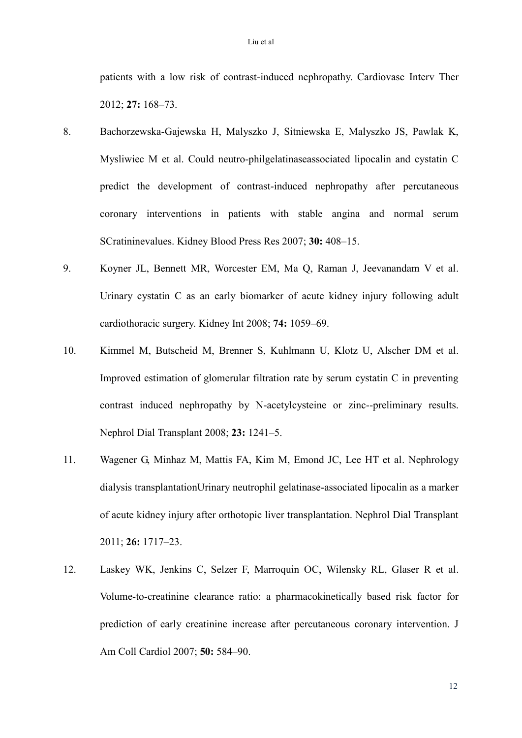patients with a low risk of contrast-induced nephropathy. Cardiovasc Interv Ther 2012; **27:** 168–73.

- 8. Bachorzewska-Gajewska H, Malyszko J, Sitniewska E, Malyszko JS, Pawlak K, Mysliwiec M et al. Could neutro-philgelatinaseassociated lipocalin and cystatin C predict the development of contrast-induced nephropathy after percutaneous coronary interventions in patients with stable angina and normal serum SCratininevalues. Kidney Blood Press Res 2007; **30:** 408–15.
- 9. Koyner JL, Bennett MR, Worcester EM, Ma Q, Raman J, Jeevanandam V et al. Urinary cystatin C as an early biomarker of acute kidney injury following adult cardiothoracic surgery. Kidney Int 2008; **74:** 1059–69.
- 10. Kimmel M, Butscheid M, Brenner S, Kuhlmann U, Klotz U, Alscher DM et al. Improved estimation of glomerular filtration rate by serum cystatin C in preventing contrast induced nephropathy by N-acetylcysteine or zinc--preliminary results. Nephrol Dial Transplant 2008; **23:** 1241–5.
- 11. Wagener G, Minhaz M, Mattis FA, Kim M, Emond JC, Lee HT et al. Nephrology dialysis transplantationUrinary neutrophil gelatinase-associated lipocalin as a marker of acute kidney injury after orthotopic liver transplantation. Nephrol Dial Transplant 2011; **26:** 1717–23.
- 12. Laskey WK, Jenkins C, Selzer F, Marroquin OC, Wilensky RL, Glaser R et al. Volume-to-creatinine clearance ratio: a pharmacokinetically based risk factor for prediction of early creatinine increase after percutaneous coronary intervention. J Am Coll Cardiol 2007; **50:** 584–90.